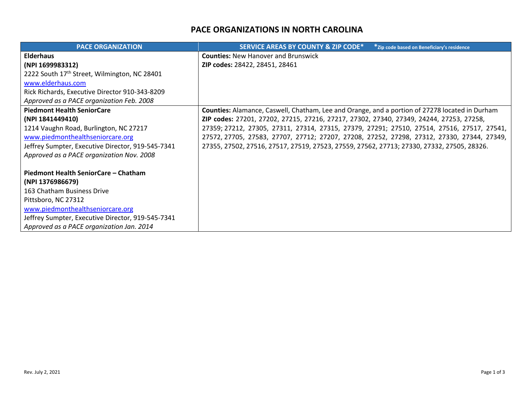## **PACE ORGANIZATIONS IN NORTH CAROLINA**

| <b>PACE ORGANIZATION</b>                                 | <b>SERVICE AREAS BY COUNTY &amp; ZIP CODE*</b><br>* Zip code based on Beneficiary's residence  |
|----------------------------------------------------------|------------------------------------------------------------------------------------------------|
| <b>Elderhaus</b>                                         | <b>Counties: New Hanover and Brunswick</b>                                                     |
| (NPI 1699983312)                                         | ZIP codes: 28422, 28451, 28461                                                                 |
| 2222 South 17 <sup>th</sup> Street, Wilmington, NC 28401 |                                                                                                |
| www.elderhaus.com                                        |                                                                                                |
| Rick Richards, Executive Director 910-343-8209           |                                                                                                |
| Approved as a PACE organization Feb. 2008                |                                                                                                |
| <b>Piedmont Health SeniorCare</b>                        | Counties: Alamance, Caswell, Chatham, Lee and Orange, and a portion of 27278 located in Durham |
| (NPI 1841449410)                                         | ZIP codes: 27201, 27202, 27215, 27216, 27217, 27302, 27340, 27349, 24244, 27253, 27258,        |
| 1214 Vaughn Road, Burlington, NC 27217                   | 27359; 27212, 27305, 27311, 27314, 27315, 27379, 27291; 27510, 27514, 27516, 27517, 27541,     |
| www.piedmonthealthseniorcare.org                         | 27572, 27705, 27583, 27707, 27712; 27207, 27208, 27252, 27298, 27312, 27330, 27344, 27349,     |
| Jeffrey Sumpter, Executive Director, 919-545-7341        | 27355, 27502, 27516, 27517, 27519, 27523, 27559, 27562, 27713; 27330, 27332, 27505, 28326.     |
| Approved as a PACE organization Nov. 2008                |                                                                                                |
|                                                          |                                                                                                |
| Piedmont Health SeniorCare - Chatham                     |                                                                                                |
| (NPI 1376986679)                                         |                                                                                                |
| 163 Chatham Business Drive                               |                                                                                                |
| Pittsboro, NC 27312                                      |                                                                                                |
| www.piedmonthealthseniorcare.org                         |                                                                                                |
| Jeffrey Sumpter, Executive Director, 919-545-7341        |                                                                                                |
| Approved as a PACE organization Jan. 2014                |                                                                                                |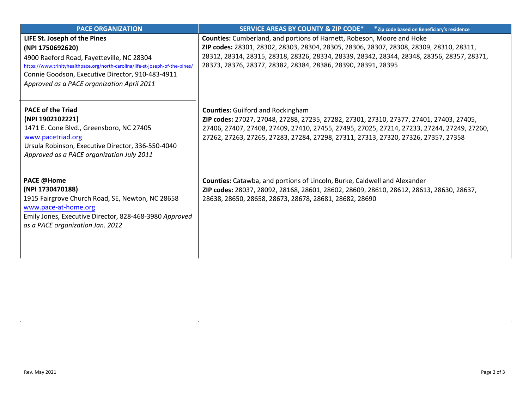| <b>PACE ORGANIZATION</b>                                                                                                                                                                                                                                                         | SERVICE AREAS BY COUNTY & ZIP CODE*<br>*Zip code based on Beneficiary's residence                                                                                                                                                                                                                                                       |
|----------------------------------------------------------------------------------------------------------------------------------------------------------------------------------------------------------------------------------------------------------------------------------|-----------------------------------------------------------------------------------------------------------------------------------------------------------------------------------------------------------------------------------------------------------------------------------------------------------------------------------------|
| LIFE St. Joseph of the Pines<br>(NPI 1750692620)<br>4900 Raeford Road, Fayetteville, NC 28304<br>https://www.trinityhealthpace.org/north-carolina/life-st-joseph-of-the-pines/<br>Connie Goodson, Executive Director, 910-483-4911<br>Approved as a PACE organization April 2011 | <b>Counties:</b> Cumberland, and portions of Harnett, Robeson, Moore and Hoke<br>ZIP codes: 28301, 28302, 28303, 28304, 28305, 28306, 28307, 28308, 28309, 28310, 28311,<br>28312, 28314, 28315, 28318, 28326, 28334, 28339, 28342, 28344, 28348, 28356, 28357, 28371,<br>28373, 28376, 28377, 28382, 28384, 28386, 28390, 28391, 28395 |
| <b>PACE of the Triad</b><br>(NPI 1902102221)<br>1471 E. Cone Blvd., Greensboro, NC 27405<br>www.pacetriad.org<br>Ursula Robinson, Executive Director, 336-550-4040<br>Approved as a PACE organization July 2011                                                                  | <b>Counties: Guilford and Rockingham</b><br>ZIP codes: 27027, 27048, 27288, 27235, 27282, 27301, 27310, 27377, 27401, 27403, 27405,<br>27406, 27407, 27408, 27409, 27410, 27455, 27495, 27025, 27214, 27233, 27244, 27249, 27260,<br>27262, 27263, 27265, 27283, 27284, 27298, 27311, 27313, 27320, 27326, 27357, 27358                 |
| <b>PACE @Home</b><br>(NPI 1730470188)<br>1915 Fairgrove Church Road, SE, Newton, NC 28658<br>www.pace-at-home.org<br>Emily Jones, Executive Director, 828-468-3980 Approved<br>as a PACE organization Jan. 2012                                                                  | <b>Counties:</b> Catawba, and portions of Lincoln, Burke, Caldwell and Alexander<br>ZIP codes: 28037, 28092, 28168, 28601, 28602, 28609, 28610, 28612, 28613, 28630, 28637,<br>28638, 28650, 28658, 28673, 28678, 28681, 28682, 28690                                                                                                   |

 $\sim 10^6$ 

 $\sim$ 

 $\sim$